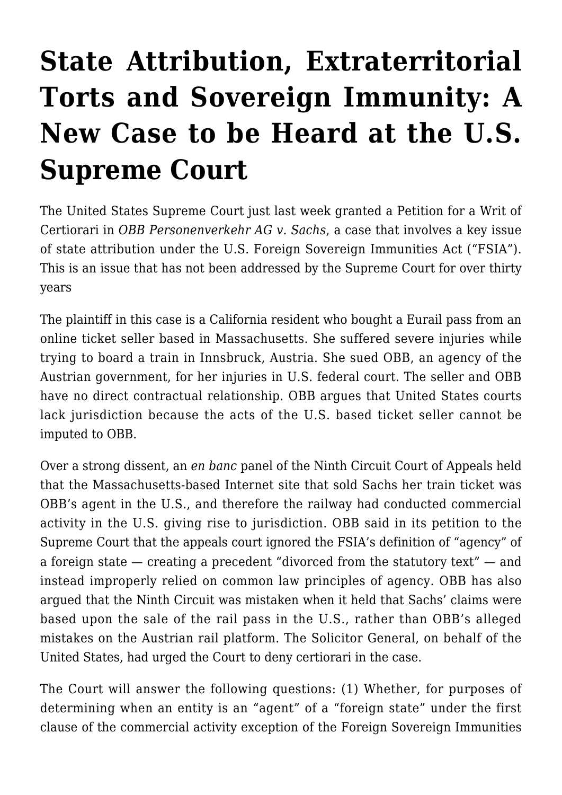## **[State Attribution, Extraterritorial](https://conflictoflaws.net/2015/state-attribution-extraterritorial-torts-and-sovereign-immunity-a-new-case-to-be-heard-at-the-u-s-supreme-court/) [Torts and Sovereign Immunity: A](https://conflictoflaws.net/2015/state-attribution-extraterritorial-torts-and-sovereign-immunity-a-new-case-to-be-heard-at-the-u-s-supreme-court/) [New Case to be Heard at the U.S.](https://conflictoflaws.net/2015/state-attribution-extraterritorial-torts-and-sovereign-immunity-a-new-case-to-be-heard-at-the-u-s-supreme-court/) [Supreme Court](https://conflictoflaws.net/2015/state-attribution-extraterritorial-torts-and-sovereign-immunity-a-new-case-to-be-heard-at-the-u-s-supreme-court/)**

The United States Supreme Court just last week granted a Petition for a Writ of Certiorari in *OBB Personenverkehr AG v. Sachs*, a case that involves a key issue of state attribution under the U.S. Foreign Sovereign Immunities Act ("FSIA"). This is an issue that has not been addressed by the Supreme Court for over thirty years

The plaintiff in this case is a California resident who bought a Eurail pass from an online ticket seller based in Massachusetts. She suffered severe injuries while trying to board a train in Innsbruck, Austria. She sued OBB, an agency of the Austrian government, for her injuries in U.S. federal court. The seller and OBB have no direct contractual relationship. OBB argues that United States courts lack jurisdiction because the acts of the U.S. based ticket seller cannot be imputed to OBB.

Over a strong dissent, an *en banc* panel of the Ninth Circuit Court of Appeals [held](http://caselaw.findlaw.com/us-9th-circuit/1651527.html) that the Massachusetts-based Internet site that sold Sachs her train ticket was OBB's agent in the U.S., and therefore the railway had conducted commercial activity in the U.S. giving rise to jurisdiction. OBB said in its [petition t](http://sblog.s3.amazonaws.com/wp-content/uploads/2014/04/13-1067-Petition-for-Writ-of-Certiorari.pdf)o the Supreme Court that the appeals court ignored the FSIA's definition of "agency" of a foreign state — creating a precedent "divorced from the statutory text" — and instead improperly relied on common law principles of agency. OBB has also argued that the Ninth Circuit was mistaken when it held that Sachs' claims were based upon the sale of the rail pass in the U.S., rather than OBB's alleged mistakes on the Austrian rail platform. The Solicitor General, on behalf of the United States, had [urged t](http://www.justice.gov/sites/default/files/osg/briefs/2014/12/22/13-1067_obb_personenverkeher_12_11_14_0.pdf)he Court to deny certiorari in the case.

The Court will answer the following questions: (1) Whether, for purposes of determining when an entity is an "agent" of a "foreign state" under the first clause of the commercial activity exception of the Foreign Sovereign Immunities